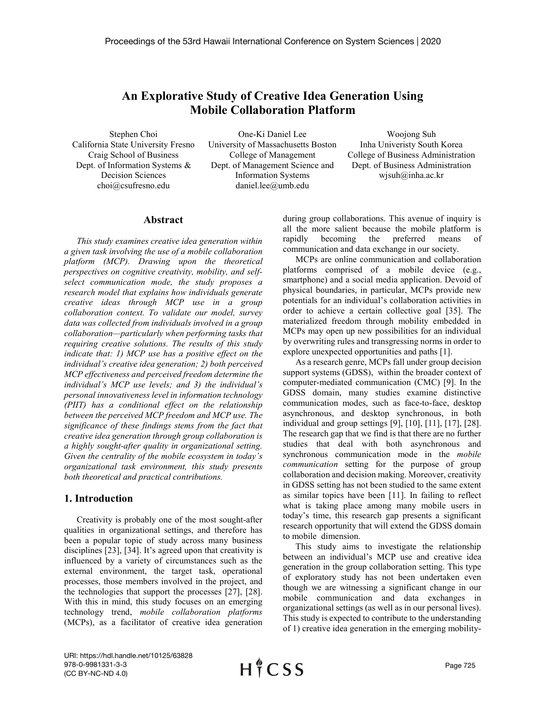# An Explorative Study of Creative Idea Generation Using Mobile Collaboration Platform

Stephen Choi California State University Fresno Craig School of Business Dept. of Information Systems & Decision Sciences choi@csufresno.edu

One-Ki Daniel Lee University of Massachusetts Boston College of Management Dept. of Management Science and Information Systems daniel.lee@umb.edu

Woojong Suh Inha Univeristy South Korea College of Business Administration Dept. of Business Administration wjsuh@inha.ac.kr

## Abstract

This study examines creative idea generation within a given task involving the use of a mobile collaboration platform (MCP). Drawing upon the theoretical perspectives on cognitive creativity, mobility, and selfselect communication mode, the study proposes a research model that explains how individuals generate creative ideas through MCP use in a group collaboration context. To validate our model, survey data was collected from individuals involved in a group collaboration—particularly when performing tasks that requiring creative solutions. The results of this study indicate that: 1) MCP use has a positive effect on the individual's creative idea generation; 2) both perceived MCP effectiveness and perceived freedom determine the individual's MCP use levels; and 3) the individual's personal innovativeness level in information technology (PIIT) has a conditional effect on the relationship between the perceived MCP freedom and MCP use. The significance of these findings stems from the fact that creative idea generation through group collaboration is a highly sought-after quality in organizational setting. Given the centrality of the mobile ecosystem in today's organizational task environment, this study presents both theoretical and practical contributions.

### 1. Introduction

Creativity is probably one of the most sought-after qualities in organizational settings, and therefore has been a popular topic of study across many business disciplines [23], [34]. It's agreed upon that creativity is influenced by a variety of circumstances such as the external environment, the target task, operational processes, those members involved in the project, and the technologies that support the processes [27], [28]. With this in mind, this study focuses on an emerging technology trend, mobile collaboration platforms (MCPs), as a facilitator of creative idea generation

during group collaborations. This avenue of inquiry is all the more salient because the mobile platform is rapidly becoming the preferred means of communication and data exchange in our society.

MCPs are online communication and collaboration platforms comprised of a mobile device (e.g., smartphone) and a social media application. Devoid of physical boundaries, in particular, MCPs provide new potentials for an individual's collaboration activities in order to achieve a certain collective goal [35]. The materialized freedom through mobility embedded in MCPs may open up new possibilities for an individual by overwriting rules and transgressing norms in order to explore unexpected opportunities and paths [1].

As a research genre, MCPs fall under group decision support systems (GDSS), within the broader context of computer-mediated communication (CMC) [9]. In the GDSS domain, many studies examine distinctive communication modes, such as face-to-face, desktop asynchronous, and desktop synchronous, in both individual and group settings [9], [10], [11], [17], [28]. The research gap that we find is that there are no further studies that deal with both asynchronous and synchronous communication mode in the *mobile* communication setting for the purpose of group collaboration and decision making. Moreover, creativity in GDSS setting has not been studied to the same extent as similar topics have been [11]. In failing to reflect what is taking place among many mobile users in today's time, this research gap presents a significant research opportunity that will extend the GDSS domain to mobile dimension.

This study aims to investigate the relationship between an individual's MCP use and creative idea generation in the group collaboration setting. This type of exploratory study has not been undertaken even though we are witnessing a significant change in our mobile communication and data exchanges in organizational settings (as well as in our personal lives). This study is expected to contribute to the understanding of 1) creative idea generation in the emerging mobility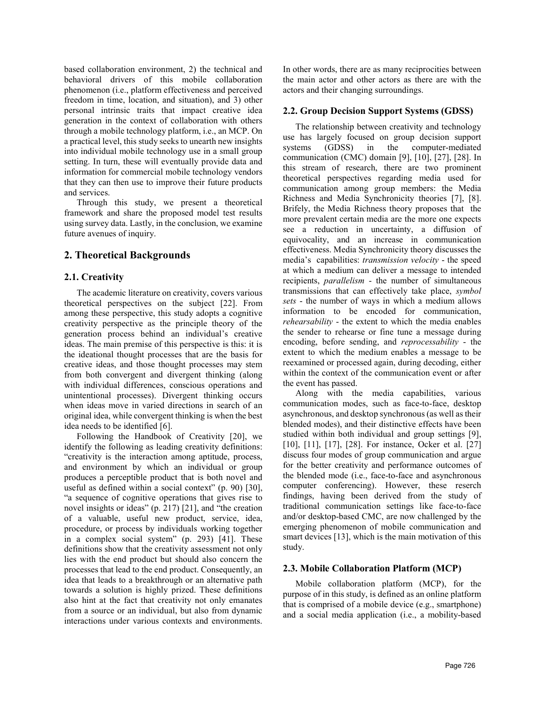based collaboration environment, 2) the technical and behavioral drivers of this mobile collaboration phenomenon (i.e., platform effectiveness and perceived freedom in time, location, and situation), and 3) other personal intrinsic traits that impact creative idea generation in the context of collaboration with others through a mobile technology platform, i.e., an MCP. On a practical level, this study seeks to unearth new insights into individual mobile technology use in a small group setting. In turn, these will eventually provide data and information for commercial mobile technology vendors that they can then use to improve their future products and services.

Through this study, we present a theoretical framework and share the proposed model test results using survey data. Lastly, in the conclusion, we examine future avenues of inquiry.

## 2. Theoretical Backgrounds

#### 2.1. Creativity

The academic literature on creativity, covers various theoretical perspectives on the subject [22]. From among these perspective, this study adopts a cognitive creativity perspective as the principle theory of the generation process behind an individual's creative ideas. The main premise of this perspective is this: it is the ideational thought processes that are the basis for creative ideas, and those thought processes may stem from both convergent and divergent thinking (along with individual differences, conscious operations and unintentional processes). Divergent thinking occurs when ideas move in varied directions in search of an original idea, while convergent thinking is when the best idea needs to be identified [6].

Following the Handbook of Creativity [20], we identify the following as leading creativity definitions: "creativity is the interaction among aptitude, process, and environment by which an individual or group produces a perceptible product that is both novel and useful as defined within a social context" (p. 90) [30], "a sequence of cognitive operations that gives rise to novel insights or ideas" (p. 217) [21], and "the creation of a valuable, useful new product, service, idea, procedure, or process by individuals working together in a complex social system" (p. 293) [41]. These definitions show that the creativity assessment not only lies with the end product but should also concern the processes that lead to the end product. Consequently, an idea that leads to a breakthrough or an alternative path towards a solution is highly prized. These definitions also hint at the fact that creativity not only emanates from a source or an individual, but also from dynamic interactions under various contexts and environments.

In other words, there are as many reciprocities between the main actor and other actors as there are with the actors and their changing surroundings.

#### 2.2. Group Decision Support Systems (GDSS)

The relationship between creativity and technology use has largely focused on group decision support systems (GDSS) in the computer-mediated communication (CMC) domain [9], [10], [27], [28]. In this stream of research, there are two prominent theoretical perspectives regarding media used for communication among group members: the Media Richness and Media Synchronicity theories [7], [8]. Brifely, the Media Richness theory proposes that the more prevalent certain media are the more one expects see a reduction in uncertainty, a diffusion of equivocality, and an increase in communication effectiveness. Media Synchronicity theory discusses the media's capabilities: transmission velocity - the speed at which a medium can deliver a message to intended recipients, parallelism - the number of simultaneous transmissions that can effectively take place, symbol sets - the number of ways in which a medium allows information to be encoded for communication, rehearsability - the extent to which the media enables the sender to rehearse or fine tune a message during encoding, before sending, and reprocessability - the extent to which the medium enables a message to be reexamined or processed again, during decoding, either within the context of the communication event or after the event has passed.

Along with the media capabilities, various communication modes, such as face-to-face, desktop asynchronous, and desktop synchronous (as well as their blended modes), and their distinctive effects have been studied within both individual and group settings [9], [10], [11], [17], [28]. For instance, Ocker et al. [27] discuss four modes of group communication and argue for the better creativity and performance outcomes of the blended mode (i.e., face-to-face and asynchronous computer conferencing). However, these reserch findings, having been derived from the study of traditional communication settings like face-to-face and/or desktop-based CMC, are now challenged by the emerging phenomenon of mobile communication and smart devices [13], which is the main motivation of this study.

#### 2.3. Mobile Collaboration Platform (MCP)

Mobile collaboration platform (MCP), for the purpose of in this study, is defined as an online platform that is comprised of a mobile device (e.g., smartphone) and a social media application (i.e., a mobility-based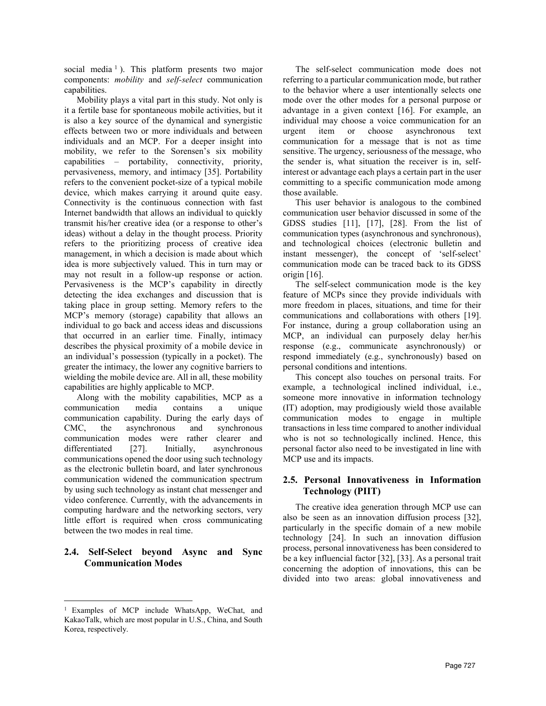social media<sup>1</sup>). This platform presents two major components: mobility and self-select communication capabilities.

Mobility plays a vital part in this study. Not only is it a fertile base for spontaneous mobile activities, but it is also a key source of the dynamical and synergistic effects between two or more individuals and between individuals and an MCP. For a deeper insight into mobility, we refer to the Sorensen's six mobility capabilities – portability, connectivity, priority, pervasiveness, memory, and intimacy [35]. Portability refers to the convenient pocket-size of a typical mobile device, which makes carrying it around quite easy. Connectivity is the continuous connection with fast Internet bandwidth that allows an individual to quickly transmit his/her creative idea (or a response to other's ideas) without a delay in the thought process. Priority refers to the prioritizing process of creative idea management, in which a decision is made about which idea is more subjectively valued. This in turn may or may not result in a follow-up response or action. Pervasiveness is the MCP's capability in directly detecting the idea exchanges and discussion that is taking place in group setting. Memory refers to the MCP's memory (storage) capability that allows an individual to go back and access ideas and discussions that occurred in an earlier time. Finally, intimacy describes the physical proximity of a mobile device in an individual's possession (typically in a pocket). The greater the intimacy, the lower any cognitive barriers to wielding the mobile device are. All in all, these mobility capabilities are highly applicable to MCP.

Along with the mobility capabilities, MCP as a communication media contains a unique communication capability. During the early days of CMC, the asynchronous and synchronous communication modes were rather clearer and differentiated [27]. Initially, asynchronous communications opened the door using such technology as the electronic bulletin board, and later synchronous communication widened the communication spectrum by using such technology as instant chat messenger and video conference. Currently, with the advancements in computing hardware and the networking sectors, very little effort is required when cross communicating between the two modes in real time.

# 2.4. Self-Select beyond Async and Sync Communication Modes

 $\overline{a}$ 

The self-select communication mode does not referring to a particular communication mode, but rather to the behavior where a user intentionally selects one mode over the other modes for a personal purpose or advantage in a given context [16]. For example, an individual may choose a voice communication for an urgent item or choose asynchronous text communication for a message that is not as time sensitive. The urgency, seriousness of the message, who the sender is, what situation the receiver is in, selfinterest or advantage each plays a certain part in the user committing to a specific communication mode among those available.

This user behavior is analogous to the combined communication user behavior discussed in some of the GDSS studies [11], [17], [28]. From the list of communication types (asynchronous and synchronous), and technological choices (electronic bulletin and instant messenger), the concept of 'self-select' communication mode can be traced back to its GDSS origin [16].

The self-select communication mode is the key feature of MCPs since they provide individuals with more freedom in places, situations, and time for their communications and collaborations with others [19]. For instance, during a group collaboration using an MCP, an individual can purposely delay her/his response (e.g., communicate asynchronously) or respond immediately (e.g., synchronously) based on personal conditions and intentions.

This concept also touches on personal traits. For example, a technological inclined individual, i.e., someone more innovative in information technology (IT) adoption, may prodigiously wield those available communication modes to engage in multiple transactions in less time compared to another individual who is not so technologically inclined. Hence, this personal factor also need to be investigated in line with MCP use and its impacts.

# 2.5. Personal Innovativeness in Information Technology (PIIT)

The creative idea generation through MCP use can also be seen as an innovation diffusion process [32], particularly in the specific domain of a new mobile technology [24]. In such an innovation diffusion process, personal innovativeness has been considered to be a key influencial factor [32], [33]. As a personal trait concerning the adoption of innovations, this can be divided into two areas: global innovativeness and

<sup>1</sup> Examples of MCP include WhatsApp, WeChat, and KakaoTalk, which are most popular in U.S., China, and South Korea, respectively.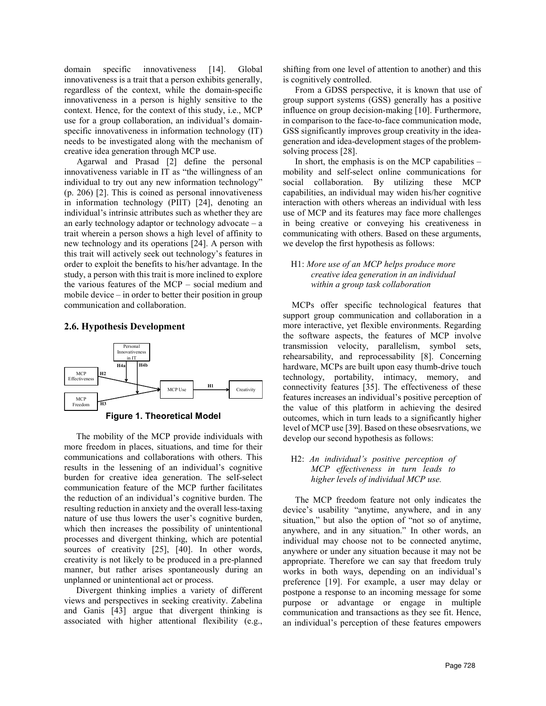domain specific innovativeness [14]. Global innovativeness is a trait that a person exhibits generally, regardless of the context, while the domain-specific innovativeness in a person is highly sensitive to the context. Hence, for the context of this study, i.e., MCP use for a group collaboration, an individual's domainspecific innovativeness in information technology (IT) needs to be investigated along with the mechanism of creative idea generation through MCP use.

Agarwal and Prasad [2] define the personal innovativeness variable in IT as "the willingness of an individual to try out any new information technology" (p. 206) [2]. This is coined as personal innovativeness in information technology (PIIT) [24], denoting an individual's intrinsic attributes such as whether they are an early technology adaptor or technology advocate – a trait wherein a person shows a high level of affinity to new technology and its operations [24]. A person with this trait will actively seek out technology's features in order to exploit the benefits to his/her advantage. In the study, a person with this trait is more inclined to explore the various features of the MCP – social medium and mobile device – in order to better their position in group communication and collaboration.

#### 2.6. Hypothesis Development



The mobility of the MCP provide individuals with more freedom in places, situations, and time for their communications and collaborations with others. This results in the lessening of an individual's cognitive burden for creative idea generation. The self-select communication feature of the MCP further facilitates the reduction of an individual's cognitive burden. The resulting reduction in anxiety and the overall less-taxing nature of use thus lowers the user's cognitive burden, which then increases the possibility of unintentional processes and divergent thinking, which are potential sources of creativity [25], [40]. In other words, creativity is not likely to be produced in a pre-planned manner, but rather arises spontaneously during an unplanned or unintentional act or process.

Divergent thinking implies a variety of different views and perspectives in seeking creativity. Zabelina and Ganis [43] argue that divergent thinking is associated with higher attentional flexibility (e.g.,

shifting from one level of attention to another) and this is cognitively controlled.

From a GDSS perspective, it is known that use of group support systems (GSS) generally has a positive influence on group decision-making [10]. Furthermore, in comparison to the face-to-face communication mode, GSS significantly improves group creativity in the ideageneration and idea-development stages of the problemsolving process [28].

In short, the emphasis is on the MCP capabilities – mobility and self-select online communications for social collaboration. By utilizing these MCP capabilities, an individual may widen his/her cognitive interaction with others whereas an individual with less use of MCP and its features may face more challenges in being creative or conveying his creativeness in communicating with others. Based on these arguments, we develop the first hypothesis as follows:

#### H1: More use of an MCP helps produce more creative idea generation in an individual within a group task collaboration

 MCPs offer specific technological features that support group communication and collaboration in a more interactive, yet flexible environments. Regarding the software aspects, the features of MCP involve transmission velocity, parallelism, symbol sets, rehearsability, and reprocessability [8]. Concerning hardware, MCPs are built upon easy thumb-drive touch connectivity features [35]. The effectiveness of these features increases an individual's positive perception of Freedom  $\frac{H^3}{100}$   $\frac{H^3}{100}$  the value of this platform in achieving the desired outcomes, which in turn leads to a significantly higher level of MCP use [39]. Based on these obsesrvations, we develop our second hypothesis as follows:

#### H2: An individual's positive perception of MCP effectiveness in turn leads to higher levels of individual MCP use.

The MCP freedom feature not only indicates the device's usability "anytime, anywhere, and in any situation," but also the option of "not so of anytime, anywhere, and in any situation." In other words, an individual may choose not to be connected anytime, anywhere or under any situation because it may not be appropriate. Therefore we can say that freedom truly works in both ways, depending on an individual's preference [19]. For example, a user may delay or postpone a response to an incoming message for some purpose or advantage or engage in multiple communication and transactions as they see fit. Hence, an individual's perception of these features empowers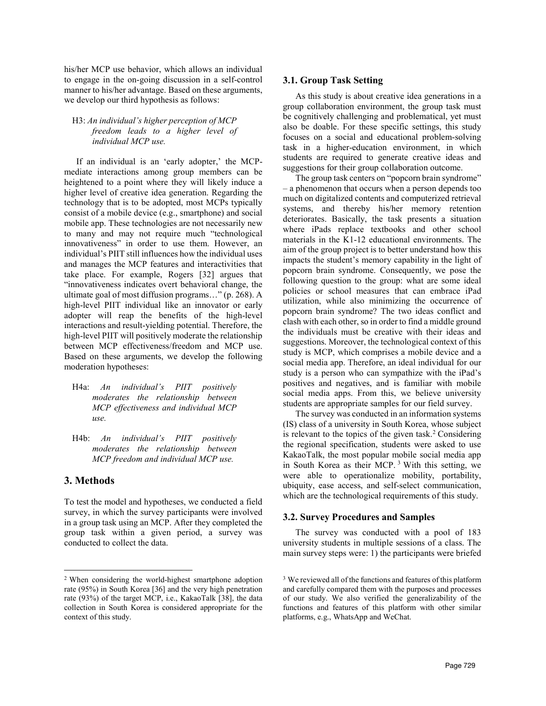his/her MCP use behavior, which allows an individual to engage in the on-going discussion in a self-control manner to his/her advantage. Based on these arguments, we develop our third hypothesis as follows:

#### H3: An individual's higher perception of MCP freedom leads to a higher level of individual MCP use.

If an individual is an 'early adopter,' the MCPmediate interactions among group members can be heightened to a point where they will likely induce a higher level of creative idea generation. Regarding the technology that is to be adopted, most MCPs typically consist of a mobile device (e.g., smartphone) and social mobile app. These technologies are not necessarily new to many and may not require much "technological innovativeness" in order to use them. However, an individual's PIIT still influences how the individual uses and manages the MCP features and interactivities that take place. For example, Rogers [32] argues that "innovativeness indicates overt behavioral change, the ultimate goal of most diffusion programs…" (p. 268). A high-level PIIT individual like an innovator or early adopter will reap the benefits of the high-level interactions and result-yielding potential. Therefore, the high-level PIIT will positively moderate the relationship between MCP effectiveness/freedom and MCP use. Based on these arguments, we develop the following moderation hypotheses:

- H4a: An individual's PIIT positively moderates the relationship between MCP effectiveness and individual MCP use.
- H4b: An individual's PIIT positively moderates the relationship between MCP freedom and individual MCP use.

# 3. Methods

 $\overline{a}$ 

To test the model and hypotheses, we conducted a field survey, in which the survey participants were involved in a group task using an MCP. After they completed the group task within a given period, a survey was conducted to collect the data.

## 3.1. Group Task Setting

As this study is about creative idea generations in a group collaboration environment, the group task must be cognitively challenging and problematical, yet must also be doable. For these specific settings, this study focuses on a social and educational problem-solving task in a higher-education environment, in which students are required to generate creative ideas and suggestions for their group collaboration outcome.

The group task centers on "popcorn brain syndrome" – a phenomenon that occurs when a person depends too much on digitalized contents and computerized retrieval systems, and thereby his/her memory retention deteriorates. Basically, the task presents a situation where iPads replace textbooks and other school materials in the K1-12 educational environments. The aim of the group project is to better understand how this impacts the student's memory capability in the light of popcorn brain syndrome. Consequently, we pose the following question to the group: what are some ideal policies or school measures that can embrace iPad utilization, while also minimizing the occurrence of popcorn brain syndrome? The two ideas conflict and clash with each other, so in order to find a middle ground the individuals must be creative with their ideas and suggestions. Moreover, the technological context of this study is MCP, which comprises a mobile device and a social media app. Therefore, an ideal individual for our study is a person who can sympathize with the iPad's positives and negatives, and is familiar with mobile social media apps. From this, we believe university students are appropriate samples for our field survey.

The survey was conducted in an information systems (IS) class of a university in South Korea, whose subject is relevant to the topics of the given task.<sup>2</sup> Considering the regional specification, students were asked to use KakaoTalk, the most popular mobile social media app in South Korea as their MCP.<sup>3</sup> With this setting, we were able to operationalize mobility, portability, ubiquity, ease access, and self-select communication, which are the technological requirements of this study.

### 3.2. Survey Procedures and Samples

The survey was conducted with a pool of 183 university students in multiple sessions of a class. The main survey steps were: 1) the participants were briefed

<sup>2</sup> When considering the world-highest smartphone adoption rate (95%) in South Korea [36] and the very high penetration rate (93%) of the target MCP, i.e., KakaoTalk [38], the data collection in South Korea is considered appropriate for the context of this study.

<sup>&</sup>lt;sup>3</sup> We reviewed all of the functions and features of this platform and carefully compared them with the purposes and processes of our study. We also verified the generalizability of the functions and features of this platform with other similar platforms, e.g., WhatsApp and WeChat.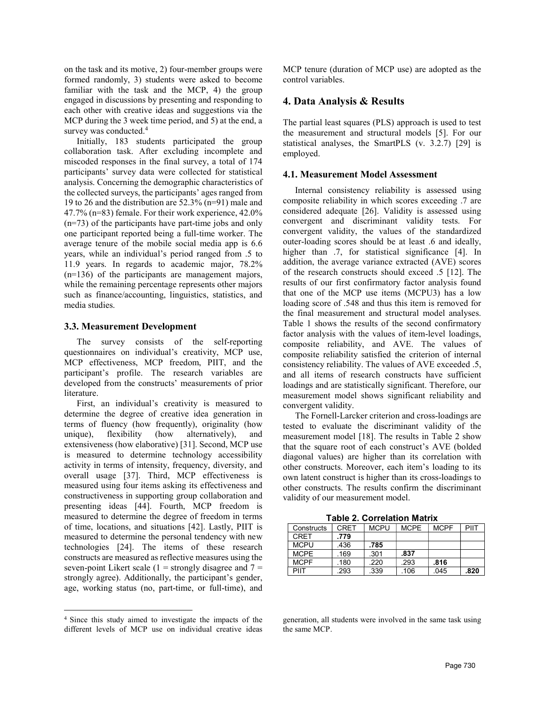on the task and its motive, 2) four-member groups were formed randomly, 3) students were asked to become familiar with the task and the MCP, 4) the group engaged in discussions by presenting and responding to each other with creative ideas and suggestions via the MCP during the 3 week time period, and 5) at the end, a survey was conducted.<sup>4</sup>

Initially, 183 students participated the group collaboration task. After excluding incomplete and miscoded responses in the final survey, a total of 174 participants' survey data were collected for statistical analysis. Concerning the demographic characteristics of the collected surveys, the participants' ages ranged from 19 to 26 and the distribution are 52.3% (n=91) male and 47.7% (n=83) female. For their work experience, 42.0% (n=73) of the participants have part-time jobs and only one participant reported being a full-time worker. The average tenure of the mobile social media app is 6.6 years, while an individual's period ranged from .5 to 11.9 years. In regards to academic major, 78.2% (n=136) of the participants are management majors, while the remaining percentage represents other majors such as finance/accounting, linguistics, statistics, and media studies.

#### 3.3. Measurement Development

The survey consists of the self-reporting questionnaires on individual's creativity, MCP use, MCP effectiveness, MCP freedom, PIIT, and the participant's profile. The research variables are developed from the constructs' measurements of prior literature.

First, an individual's creativity is measured to determine the degree of creative idea generation in terms of fluency (how frequently), originality (how unique), flexibility (how alternatively), and extensiveness (how elaborative) [31]. Second, MCP use is measured to determine technology accessibility activity in terms of intensity, frequency, diversity, and overall usage [37]. Third, MCP effectiveness is measured using four items asking its effectiveness and constructiveness in supporting group collaboration and presenting ideas [44]. Fourth, MCP freedom is measured to determine the degree of freedom in terms of time, locations, and situations [42]. Lastly, PIIT is measured to determine the personal tendency with new technologies [24]. The items of these research constructs are measured as reflective measures using the seven-point Likert scale  $(1 =$  strongly disagree and  $7 =$ strongly agree). Additionally, the participant's gender, age, working status (no, part-time, or full-time), and

 $\overline{a}$ 

MCP tenure (duration of MCP use) are adopted as the control variables.

### 4. Data Analysis & Results

The partial least squares (PLS) approach is used to test the measurement and structural models [5]. For our statistical analyses, the SmartPLS (v. 3.2.7) [29] is employed.

#### 4.1. Measurement Model Assessment

Internal consistency reliability is assessed using composite reliability in which scores exceeding .7 are considered adequate [26]. Validity is assessed using convergent and discriminant validity tests. For convergent validity, the values of the standardized outer-loading scores should be at least .6 and ideally, higher than .7, for statistical significance [4]. In addition, the average variance extracted (AVE) scores of the research constructs should exceed .5 [12]. The results of our first confirmatory factor analysis found that one of the MCP use items (MCPU3) has a low loading score of .548 and thus this item is removed for the final measurement and structural model analyses. Table 1 shows the results of the second confirmatory factor analysis with the values of item-level loadings, composite reliability, and AVE. The values of composite reliability satisfied the criterion of internal consistency reliability. The values of AVE exceeded .5, and all items of research constructs have sufficient loadings and are statistically significant. Therefore, our measurement model shows significant reliability and convergent validity.

The Fornell-Larcker criterion and cross-loadings are tested to evaluate the discriminant validity of the measurement model [18]. The results in Table 2 show that the square root of each construct's AVE (bolded diagonal values) are higher than its correlation with other constructs. Moreover, each item's loading to its own latent construct is higher than its cross-loadings to other constructs. The results confirm the discriminant validity of our measurement model.

Table 2. Correlation Matrix

| Constructs  | CRFT | <b>MCPU</b> | <b>MCPE</b> | <b>MCPF</b> | PIIT |  |  |  |  |
|-------------|------|-------------|-------------|-------------|------|--|--|--|--|
| CRFT        | .779 |             |             |             |      |  |  |  |  |
| MCPU        | .436 | .785        |             |             |      |  |  |  |  |
| <b>MCPE</b> | .169 | .301        | .837        |             |      |  |  |  |  |
| <b>MCPF</b> | .180 | .220        | .293        | .816        |      |  |  |  |  |
| PIIT        | .293 | .339        | .106        | .045        | .820 |  |  |  |  |

generation, all students were involved in the same task using the same MCP.

<sup>4</sup> Since this study aimed to investigate the impacts of the different levels of MCP use on individual creative ideas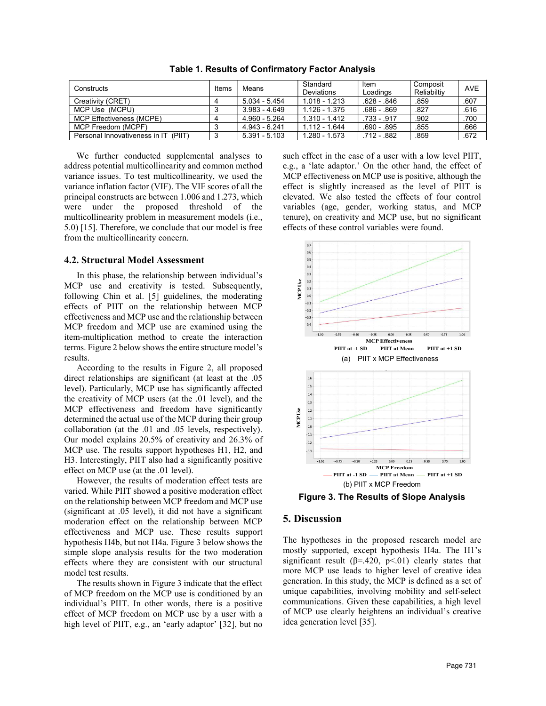| Constructs                           | Items | Means           | Standard<br>Deviations | Item<br>Loadings | Composit<br>Reliabiltiv | <b>AVE</b> |
|--------------------------------------|-------|-----------------|------------------------|------------------|-------------------------|------------|
| Creativity (CRET)                    |       | 5.034 - 5.454   | 1.018 - 1.213          | $.628 - .846$    | .859                    | .607       |
| MCP Use (MCPU)                       |       | 3.983 - 4.649   | 1.126 - 1.375          | $.686 - .869$    | .827                    | .616       |
| MCP Effectiveness (MCPE)             |       | 4.960 - 5.264   | 1.310 - 1.412          | $.733 - .917$    | .902                    | .700       |
| MCP Freedom (MCPF)                   |       | 4.943 - 6.241   | 1.112 - 1.644          | $.690 - .895$    | .855                    | .666       |
| Personal Innovativeness in IT (PIIT) | -3    | $5.391 - 5.103$ | 1.280 - 1.573          | .712 - .882      | .859                    | .672       |

Table 1. Results of Confirmatory Factor Analysis

We further conducted supplemental analyses to address potential multicollinearity and common method variance issues. To test multicollinearity, we used the variance inflation factor (VIF). The VIF scores of all the principal constructs are between 1.006 and 1.273, which were under the proposed threshold of the multicollinearity problem in measurement models (i.e., 5.0) [15]. Therefore, we conclude that our model is free from the multicollinearity concern.

#### 4.2. Structural Model Assessment

In this phase, the relationship between individual's MCP use and creativity is tested. Subsequently, following Chin et al. [5] guidelines, the moderating effects of PIIT on the relationship between MCP effectiveness and MCP use and the relationship between MCP freedom and MCP use are examined using the item-multiplication method to create the interaction terms. Figure 2 below shows the entire structure model's results.

According to the results in Figure 2, all proposed direct relationships are significant (at least at the .05 level). Particularly, MCP use has significantly affected the creativity of MCP users (at the .01 level), and the MCP effectiveness and freedom have significantly determined the actual use of the MCP during their group collaboration (at the .01 and .05 levels, respectively). Our model explains 20.5% of creativity and 26.3% of MCP use. The results support hypotheses H1, H2, and H3. Interestingly, PIIT also had a significantly positive effect on MCP use (at the .01 level).

However, the results of moderation effect tests are varied. While PIIT showed a positive moderation effect on the relationship between MCP freedom and MCP use (significant at .05 level), it did not have a significant moderation effect on the relationship between MCP effectiveness and MCP use. These results support hypothesis H4b, but not H4a. Figure 3 below shows the simple slope analysis results for the two moderation effects where they are consistent with our structural model test results.

The results shown in Figure 3 indicate that the effect of MCP freedom on the MCP use is conditioned by an individual's PIIT. In other words, there is a positive effect of MCP freedom on MCP use by a user with a high level of PIIT, e.g., an 'early adaptor' [32], but no

such effect in the case of a user with a low level PIIT, e.g., a 'late adaptor.' On the other hand, the effect of MCP effectiveness on MCP use is positive, although the effect is slightly increased as the level of PIIT is elevated. We also tested the effects of four control variables (age, gender, working status, and MCP tenure), on creativity and MCP use, but no significant effects of these control variables were found.



Figure 3. The Results of Slope Analysis

#### 5. Discussion

The hypotheses in the proposed research model are mostly supported, except hypothesis H4a. The H1's significant result ( $\beta$ =.420, p<.01) clearly states that more MCP use leads to higher level of creative idea generation. In this study, the MCP is defined as a set of unique capabilities, involving mobility and self-select communications. Given these capabilities, a high level of MCP use clearly heightens an individual's creative idea generation level [35].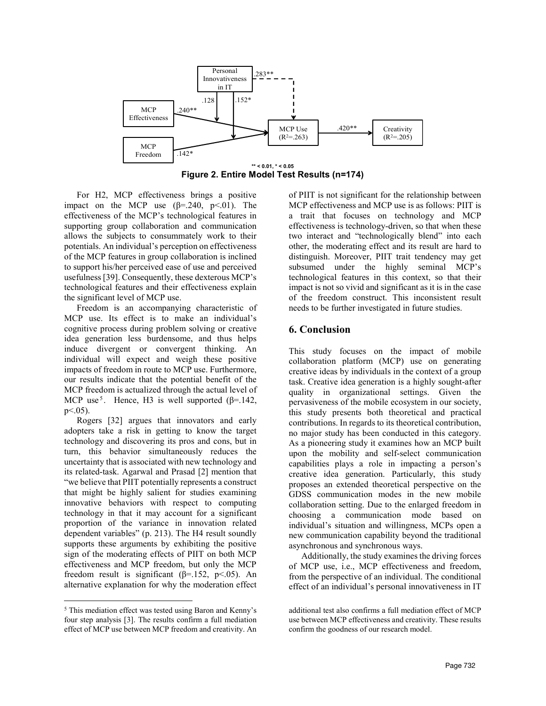

Figure 2. Entire Model Test Results (n=174)

For H2, MCP effectiveness brings a positive impact on the MCP use  $(\beta = .240, p < .01)$ . The effectiveness of the MCP's technological features in supporting group collaboration and communication allows the subjects to consummately work to their potentials. An individual's perception on effectiveness of the MCP features in group collaboration is inclined to support his/her perceived ease of use and perceived usefulness [39]. Consequently, these dexterous MCP's technological features and their effectiveness explain the significant level of MCP use.

Freedom is an accompanying characteristic of MCP use. Its effect is to make an individual's cognitive process during problem solving or creative idea generation less burdensome, and thus helps induce divergent or convergent thinking. An individual will expect and weigh these positive impacts of freedom in route to MCP use. Furthermore, our results indicate that the potential benefit of the MCP freedom is actualized through the actual level of MCP use<sup>5</sup>. Hence, H3 is well supported ( $\beta$ =.142, p<.05).

Rogers [32] argues that innovators and early adopters take a risk in getting to know the target technology and discovering its pros and cons, but in turn, this behavior simultaneously reduces the uncertainty that is associated with new technology and its related-task. Agarwal and Prasad [2] mention that "we believe that PIIT potentially represents a construct that might be highly salient for studies examining innovative behaviors with respect to computing technology in that it may account for a significant proportion of the variance in innovation related dependent variables" (p. 213). The H4 result soundly supports these arguments by exhibiting the positive sign of the moderating effects of PIIT on both MCP effectiveness and MCP freedom, but only the MCP freedom result is significant ( $\beta$ =.152, p<.05). An alternative explanation for why the moderation effect

 $\overline{a}$ 

of PIIT is not significant for the relationship between MCP effectiveness and MCP use is as follows: PIIT is a trait that focuses on technology and MCP effectiveness is technology-driven, so that when these two interact and "technologically blend" into each other, the moderating effect and its result are hard to distinguish. Moreover, PIIT trait tendency may get subsumed under the highly seminal MCP's technological features in this context, so that their impact is not so vivid and significant as it is in the case of the freedom construct. This inconsistent result needs to be further investigated in future studies.

# 6. Conclusion

This study focuses on the impact of mobile collaboration platform (MCP) use on generating creative ideas by individuals in the context of a group task. Creative idea generation is a highly sought-after quality in organizational settings. Given the pervasiveness of the mobile ecosystem in our society, this study presents both theoretical and practical contributions. In regards to its theoretical contribution, no major study has been conducted in this category. As a pioneering study it examines how an MCP built upon the mobility and self-select communication capabilities plays a role in impacting a person's creative idea generation. Particularly, this study proposes an extended theoretical perspective on the GDSS communication modes in the new mobile collaboration setting. Due to the enlarged freedom in choosing a communication mode based on individual's situation and willingness, MCPs open a new communication capability beyond the traditional asynchronous and synchronous ways.

Additionally, the study examines the driving forces of MCP use, i.e., MCP effectiveness and freedom, from the perspective of an individual. The conditional effect of an individual's personal innovativeness in IT

<sup>&</sup>lt;sup>5</sup> This mediation effect was tested using Baron and Kenny's four step analysis [3]. The results confirm a full mediation effect of MCP use between MCP freedom and creativity. An

additional test also confirms a full mediation effect of MCP use between MCP effectiveness and creativity. These results confirm the goodness of our research model.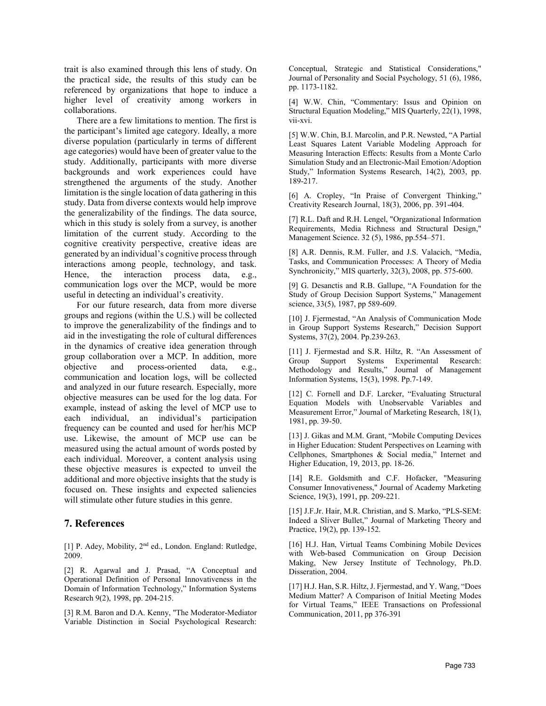trait is also examined through this lens of study. On the practical side, the results of this study can be referenced by organizations that hope to induce a higher level of creativity among workers in collaborations.

There are a few limitations to mention. The first is the participant's limited age category. Ideally, a more diverse population (particularly in terms of different age categories) would have been of greater value to the study. Additionally, participants with more diverse backgrounds and work experiences could have strengthened the arguments of the study. Another limitation is the single location of data gathering in this study. Data from diverse contexts would help improve the generalizability of the findings. The data source, which in this study is solely from a survey, is another limitation of the current study. According to the cognitive creativity perspective, creative ideas are generated by an individual's cognitive process through interactions among people, technology, and task. Hence, the interaction process data, e.g., communication logs over the MCP, would be more useful in detecting an individual's creativity.

For our future research, data from more diverse groups and regions (within the U.S.) will be collected to improve the generalizability of the findings and to aid in the investigating the role of cultural differences in the dynamics of creative idea generation through group collaboration over a MCP. In addition, more objective and process-oriented data, e.g., communication and location logs, will be collected and analyzed in our future research. Especially, more objective measures can be used for the log data. For example, instead of asking the level of MCP use to each individual, an individual's participation frequency can be counted and used for her/his MCP use. Likewise, the amount of MCP use can be measured using the actual amount of words posted by each individual. Moreover, a content analysis using these objective measures is expected to unveil the additional and more objective insights that the study is focused on. These insights and expected saliencies will stimulate other future studies in this genre.

# 7. References

[1] P. Adey, Mobility, 2<sup>nd</sup> ed., London. England: Rutledge, 2009.

[2] R. Agarwal and J. Prasad, "A Conceptual and Operational Definition of Personal Innovativeness in the Domain of Information Technology," Information Systems Research 9(2), 1998, pp. 204-215.

[3] R.M. Baron and D.A. Kenny, "The Moderator-Mediator Variable Distinction in Social Psychological Research:

Conceptual, Strategic and Statistical Considerations," Journal of Personality and Social Psychology, 51 (6), 1986, pp. 1173-1182.

[4] W.W. Chin, "Commentary: Issus and Opinion on Structural Equation Modeling," MIS Quarterly, 22(1), 1998, vii-xvi.

[5] W.W. Chin, B.I. Marcolin, and P.R. Newsted, "A Partial Least Squares Latent Variable Modeling Approach for Measuring Interaction Effects: Results from a Monte Carlo Simulation Study and an Electronic-Mail Emotion/Adoption Study," Information Systems Research, 14(2), 2003, pp. 189-217.

[6] A. Cropley, "In Praise of Convergent Thinking," Creativity Research Journal, 18(3), 2006, pp. 391-404.

[7] R.L. Daft and R.H. Lengel, "Organizational Information Requirements, Media Richness and Structural Design," Management Science. 32 (5), 1986, pp.554–571.

[8] A.R. Dennis, R.M. Fuller, and J.S. Valacich, "Media, Tasks, and Communication Processes: A Theory of Media Synchronicity," MIS quarterly, 32(3), 2008, pp. 575-600.

[9] G. Desanctis and R.B. Gallupe, "A Foundation for the Study of Group Decision Support Systems," Management science, 33(5), 1987, pp 589-609.

[10] J. Fjermestad, "An Analysis of Communication Mode in Group Support Systems Research," Decision Support Systems, 37(2), 2004. Pp.239-263.

[11] J. Fjermestad and S.R. Hiltz, R. "An Assessment of Group Support Systems Experimental Research: Methodology and Results," Journal of Management Information Systems, 15(3), 1998. Pp.7-149.

[12] C. Fornell and D.F. Larcker, "Evaluating Structural Equation Models with Unobservable Variables and Measurement Error," Journal of Marketing Research, 18(1), 1981, pp. 39-50.

[13] J. Gikas and M.M. Grant, "Mobile Computing Devices in Higher Education: Student Perspectives on Learning with Cellphones, Smartphones & Social media," Internet and Higher Education, 19, 2013, pp. 18-26.

[14] R.E. Goldsmith and C.F. Hofacker, "Measuring Consumer Innovativeness," Journal of Academy Marketing Science, 19(3), 1991, pp. 209-221.

[15] J.F.Jr. Hair, M.R. Christian, and S. Marko, "PLS-SEM: Indeed a Sliver Bullet," Journal of Marketing Theory and Practice, 19(2), pp. 139-152.

[16] H.J. Han, Virtual Teams Combining Mobile Devices with Web-based Communication on Group Decision Making, New Jersey Institute of Technology, Ph.D. Disseration, 2004.

[17] H.J. Han, S.R. Hiltz, J. Fjermestad, and Y. Wang, "Does Medium Matter? A Comparison of Initial Meeting Modes for Virtual Teams," IEEE Transactions on Professional Communication, 2011, pp 376-391